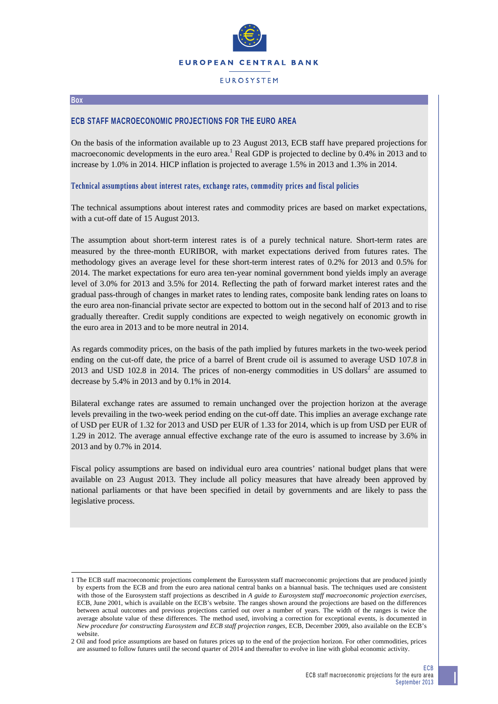

# **EUROSYSTEM**

#### **Box**

1

## **ECB STAFF MACROECONOMIC PROJECTIONS FOR THE EURO AREA**

On the basis of the information available up to 23 August 2013, ECB staff have prepared projections for macroeconomic developments in the euro area.<sup>1</sup> Real GDP is projected to decline by 0.4% in 2013 and to increase by 1.0% in 2014. HICP inflation is projected to average 1.5% in 2013 and 1.3% in 2014.

### **Technical assumptions about interest rates, exchange rates, commodity prices and fiscal policies**

The technical assumptions about interest rates and commodity prices are based on market expectations, with a cut-off date of 15 August 2013.

The assumption about short-term interest rates is of a purely technical nature. Short-term rates are measured by the three-month EURIBOR, with market expectations derived from futures rates. The methodology gives an average level for these short-term interest rates of 0.2% for 2013 and 0.5% for 2014. The market expectations for euro area ten-year nominal government bond yields imply an average level of 3.0% for 2013 and 3.5% for 2014. Reflecting the path of forward market interest rates and the gradual pass-through of changes in market rates to lending rates, composite bank lending rates on loans to the euro area non-financial private sector are expected to bottom out in the second half of 2013 and to rise gradually thereafter. Credit supply conditions are expected to weigh negatively on economic growth in the euro area in 2013 and to be more neutral in 2014.

As regards commodity prices, on the basis of the path implied by futures markets in the two-week period ending on the cut-off date, the price of a barrel of Brent crude oil is assumed to average USD 107.8 in 2013 and USD 102.8 in 2014. The prices of non-energy commodities in US dollars<sup>2</sup> are assumed to decrease by 5.4% in 2013 and by 0.1% in 2014.

Bilateral exchange rates are assumed to remain unchanged over the projection horizon at the average levels prevailing in the two-week period ending on the cut-off date. This implies an average exchange rate of USD per EUR of 1.32 for 2013 and USD per EUR of 1.33 for 2014, which is up from USD per EUR of 1.29 in 2012. The average annual effective exchange rate of the euro is assumed to increase by 3.6% in 2013 and by 0.7% in 2014.

Fiscal policy assumptions are based on individual euro area countries' national budget plans that were available on 23 August 2013. They include all policy measures that have already been approved by national parliaments or that have been specified in detail by governments and are likely to pass the legislative process.

<sup>1</sup> The ECB staff macroeconomic projections complement the Eurosystem staff macroeconomic projections that are produced jointly by experts from the ECB and from the euro area national central banks on a biannual basis. The techniques used are consistent with those of the Eurosystem staff projections as described in *A guide to Eurosystem staff macroeconomic projection exercises*, ECB, June 2001, which is available on the ECB's website. The ranges shown around the projections are based on the differences between actual outcomes and previous projections carried out over a number of years. The width of the ranges is twice the average absolute value of these differences. The method used, involving a correction for exceptional events, is documented in *New procedure for constructing Eurosystem and ECB staff projection ranges*, ECB, December 2009, also available on the ECB's website.

<sup>2</sup> Oil and food price assumptions are based on futures prices up to the end of the projection horizon. For other commodities, prices are assumed to follow futures until the second quarter of 2014 and thereafter to evolve in line with global economic activity.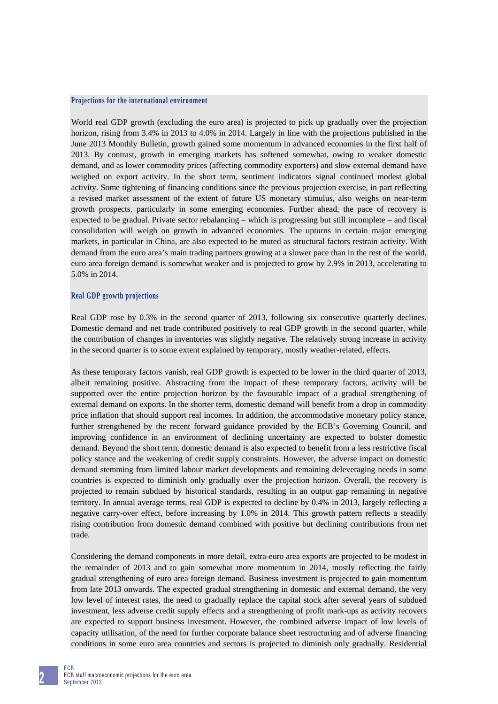### **Projections for the international environment**

World real GDP growth (excluding the euro area) is projected to pick up gradually over the projection horizon, rising from 3.4% in 2013 to 4.0% in 2014. Largely in line with the projections published in the June 2013 Monthly Bulletin, growth gained some momentum in advanced economies in the first half of 2013. By contrast, growth in emerging markets has softened somewhat, owing to weaker domestic demand, and as lower commodity prices (affecting commodity exporters) and slow external demand have weighed on export activity. In the short term, sentiment indicators signal continued modest global activity. Some tightening of financing conditions since the previous projection exercise, in part reflecting a revised market assessment of the extent of future US monetary stimulus, also weighs on near-term growth prospects, particularly in some emerging economies. Further ahead, the pace of recovery is expected to be gradual. Private sector rebalancing – which is progressing but still incomplete – and fiscal consolidation will weigh on growth in advanced economies. The upturns in certain major emerging markets, in particular in China, are also expected to be muted as structural factors restrain activity. With demand from the euro area's main trading partners growing at a slower pace than in the rest of the world, euro area foreign demand is somewhat weaker and is projected to grow by 2.9% in 2013, accelerating to 5.0% in 2014.

### **Real GDP growth projections**

Real GDP rose by 0.3% in the second quarter of 2013, following six consecutive quarterly declines. Domestic demand and net trade contributed positively to real GDP growth in the second quarter, while the contribution of changes in inventories was slightly negative. The relatively strong increase in activity in the second quarter is to some extent explained by temporary, mostly weather-related, effects.

As these temporary factors vanish, real GDP growth is expected to be lower in the third quarter of 2013, albeit remaining positive. Abstracting from the impact of these temporary factors, activity will be supported over the entire projection horizon by the favourable impact of a gradual strengthening of external demand on exports. In the shorter term, domestic demand will benefit from a drop in commodity price inflation that should support real incomes. In addition, the accommodative monetary policy stance, further strengthened by the recent forward guidance provided by the ECB's Governing Council, and improving confidence in an environment of declining uncertainty are expected to bolster domestic demand. Beyond the short term, domestic demand is also expected to benefit from a less restrictive fiscal policy stance and the weakening of credit supply constraints. However, the adverse impact on domestic demand stemming from limited labour market developments and remaining deleveraging needs in some countries is expected to diminish only gradually over the projection horizon. Overall, the recovery is projected to remain subdued by historical standards, resulting in an output gap remaining in negative territory. In annual average terms, real GDP is expected to decline by 0.4% in 2013, largely reflecting a negative carry-over effect, before increasing by 1.0% in 2014. This growth pattern reflects a steadily rising contribution from domestic demand combined with positive but declining contributions from net trade.

Considering the demand components in more detail, extra-euro area exports are projected to be modest in the remainder of 2013 and to gain somewhat more momentum in 2014, mostly reflecting the fairly gradual strengthening of euro area foreign demand. Business investment is projected to gain momentum from late 2013 onwards. The expected gradual strengthening in domestic and external demand, the very low level of interest rates, the need to gradually replace the capital stock after several years of subdued investment, less adverse credit supply effects and a strengthening of profit mark-ups as activity recovers are expected to support business investment. However, the combined adverse impact of low levels of capacity utilisation, of the need for further corporate balance sheet restructuring and of adverse financing conditions in some euro area countries and sectors is projected to diminish only gradually. Residential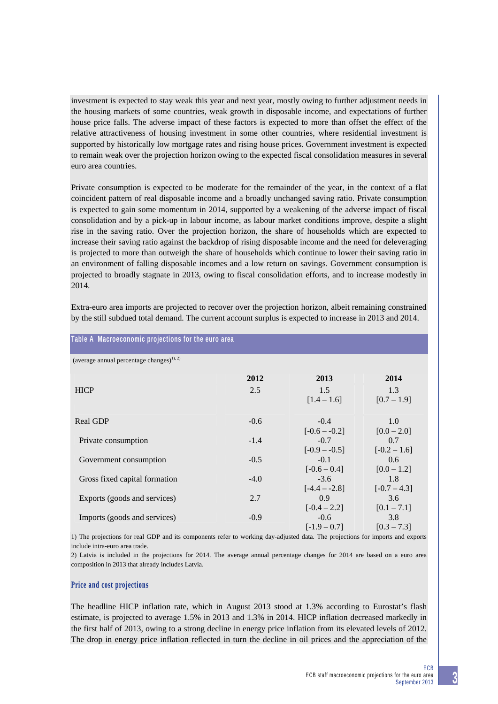investment is expected to stay weak this year and next year, mostly owing to further adjustment needs in the housing markets of some countries, weak growth in disposable income, and expectations of further house price falls. The adverse impact of these factors is expected to more than offset the effect of the relative attractiveness of housing investment in some other countries, where residential investment is supported by historically low mortgage rates and rising house prices. Government investment is expected to remain weak over the projection horizon owing to the expected fiscal consolidation measures in several euro area countries.

Private consumption is expected to be moderate for the remainder of the year, in the context of a flat coincident pattern of real disposable income and a broadly unchanged saving ratio. Private consumption is expected to gain some momentum in 2014, supported by a weakening of the adverse impact of fiscal consolidation and by a pick-up in labour income, as labour market conditions improve, despite a slight rise in the saving ratio. Over the projection horizon, the share of households which are expected to increase their saving ratio against the backdrop of rising disposable income and the need for deleveraging is projected to more than outweigh the share of households which continue to lower their saving ratio in an environment of falling disposable incomes and a low return on savings. Government consumption is projected to broadly stagnate in 2013, owing to fiscal consolidation efforts, and to increase modestly in 2014.

| Table A Macroeconomic projections for the euro area   |        |                           |                       |
|-------------------------------------------------------|--------|---------------------------|-----------------------|
| (average annual percentage changes) <sup>1), 2)</sup> |        |                           |                       |
|                                                       | 2012   | 2013                      | 2014                  |
| <b>HICP</b>                                           | 2.5    | 1.5<br>$[1.4 - 1.6]$      | 1.3<br>$[0.7 - 1.9]$  |
| Real GDP                                              | $-0.6$ | $-0.4$<br>$[-0.6 - -0.2]$ | 1.0<br>$[0.0 - 2.0]$  |
| Private consumption                                   | $-1.4$ | $-0.7$<br>$[-0.9 - 0.5]$  | 0.7<br>$[-0.2 - 1.6]$ |
| Government consumption                                | $-0.5$ | $-0.1$<br>$[-0.6 - 0.4]$  | 0.6<br>$[0.0 - 1.2]$  |
| Gross fixed capital formation                         | $-4.0$ | $-3.6$<br>$[-4.4 - 2.8]$  | 1.8<br>$[-0.7 - 4.3]$ |
| Exports (goods and services)                          | 2.7    | 0.9<br>$[-0.4 - 2.2]$     | 3.6<br>$[0.1 - 7.1]$  |
| Imports (goods and services)                          | $-0.9$ | $-0.6$<br>$[-1.9 - 0.7]$  | 3.8<br>$[0.3 - 7.3]$  |

Extra-euro area imports are projected to recover over the projection horizon, albeit remaining constrained by the still subdued total demand. The current account surplus is expected to increase in 2013 and 2014.

1) The projections for real GDP and its components refer to working day-adjusted data. The projections for imports and exports include intra-euro area trade.

2) Latvia is included in the projections for 2014. The average annual percentage changes for 2014 are based on a euro area composition in 2013 that already includes Latvia.

## **Price and cost projections**

The headline HICP inflation rate, which in August 2013 stood at 1.3% according to Eurostat's flash estimate, is projected to average 1.5% in 2013 and 1.3% in 2014. HICP inflation decreased markedly in the first half of 2013, owing to a strong decline in energy price inflation from its elevated levels of 2012. The drop in energy price inflation reflected in turn the decline in oil prices and the appreciation of the

# **3**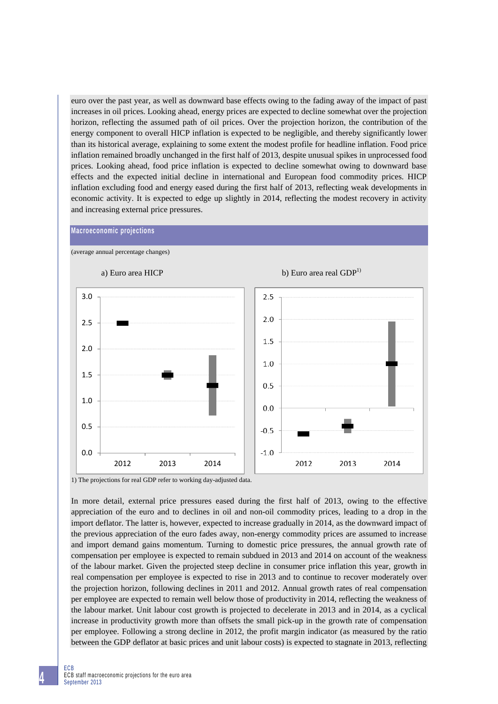euro over the past year, as well as downward base effects owing to the fading away of the impact of past increases in oil prices. Looking ahead, energy prices are expected to decline somewhat over the projection horizon, reflecting the assumed path of oil prices. Over the projection horizon, the contribution of the energy component to overall HICP inflation is expected to be negligible, and thereby significantly lower than its historical average, explaining to some extent the modest profile for headline inflation. Food price inflation remained broadly unchanged in the first half of 2013, despite unusual spikes in unprocessed food prices. Looking ahead, food price inflation is expected to decline somewhat owing to downward base effects and the expected initial decline in international and European food commodity prices. HICP inflation excluding food and energy eased during the first half of 2013, reflecting weak developments in economic activity. It is expected to edge up slightly in 2014, reflecting the modest recovery in activity and increasing external price pressures.

## **Macroeconomic projections**

(average annual percentage changes)



1) The projections for real GDP refer to working day-adjusted data.

In more detail, external price pressures eased during the first half of 2013, owing to the effective appreciation of the euro and to declines in oil and non-oil commodity prices, leading to a drop in the import deflator. The latter is, however, expected to increase gradually in 2014, as the downward impact of the previous appreciation of the euro fades away, non-energy commodity prices are assumed to increase and import demand gains momentum. Turning to domestic price pressures, the annual growth rate of compensation per employee is expected to remain subdued in 2013 and 2014 on account of the weakness of the labour market. Given the projected steep decline in consumer price inflation this year, growth in real compensation per employee is expected to rise in 2013 and to continue to recover moderately over the projection horizon, following declines in 2011 and 2012. Annual growth rates of real compensation per employee are expected to remain well below those of productivity in 2014, reflecting the weakness of the labour market. Unit labour cost growth is projected to decelerate in 2013 and in 2014, as a cyclical increase in productivity growth more than offsets the small pick-up in the growth rate of compensation per employee. Following a strong decline in 2012, the profit margin indicator (as measured by the ratio between the GDP deflator at basic prices and unit labour costs) is expected to stagnate in 2013, reflecting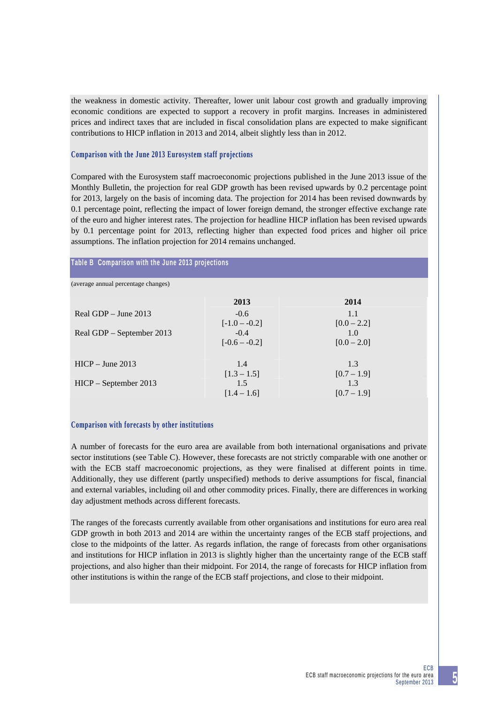the weakness in domestic activity. Thereafter, lower unit labour cost growth and gradually improving economic conditions are expected to support a recovery in profit margins. Increases in administered prices and indirect taxes that are included in fiscal consolidation plans are expected to make significant contributions to HICP inflation in 2013 and 2014, albeit slightly less than in 2012.

## **Comparison with the June 2013 Eurosystem staff projections**

Compared with the Eurosystem staff macroeconomic projections published in the June 2013 issue of the Monthly Bulletin, the projection for real GDP growth has been revised upwards by 0.2 percentage point for 2013, largely on the basis of incoming data. The projection for 2014 has been revised downwards by 0.1 percentage point, reflecting the impact of lower foreign demand, the stronger effective exchange rate of the euro and higher interest rates. The projection for headline HICP inflation has been revised upwards by 0.1 percentage point for 2013, reflecting higher than expected food prices and higher oil price assumptions. The inflation projection for 2014 remains unchanged.

## **Table B Comparison with the June 2013 projections**

(average annual percentage changes)

|                           | 2013            | 2014          |
|---------------------------|-----------------|---------------|
| Real GDP $-$ June 2013    | $-0.6$          | 1.1           |
|                           | $[-1.0 - -0.2]$ | $[0.0 - 2.2]$ |
| Real GDP – September 2013 | $-0.4$          | 1.0           |
|                           | $[-0.6 - -0.2]$ | $[0.0 - 2.0]$ |
|                           |                 |               |
| $HICP - June 2013$        | 1.4             | 1.3           |
|                           | $[1.3 - 1.5]$   | $[0.7 - 1.9]$ |
| $HICP - September 2013$   | 1.5             | 1.3           |
|                           | $[1.4 - 1.6]$   | $[0.7 - 1.9]$ |

## **Comparison with forecasts by other institutions**

A number of forecasts for the euro area are available from both international organisations and private sector institutions (see Table C). However, these forecasts are not strictly comparable with one another or with the ECB staff macroeconomic projections, as they were finalised at different points in time. Additionally, they use different (partly unspecified) methods to derive assumptions for fiscal, financial and external variables, including oil and other commodity prices. Finally, there are differences in working day adjustment methods across different forecasts.

The ranges of the forecasts currently available from other organisations and institutions for euro area real GDP growth in both 2013 and 2014 are within the uncertainty ranges of the ECB staff projections, and close to the midpoints of the latter. As regards inflation, the range of forecasts from other organisations and institutions for HICP inflation in 2013 is slightly higher than the uncertainty range of the ECB staff projections, and also higher than their midpoint. For 2014, the range of forecasts for HICP inflation from other institutions is within the range of the ECB staff projections, and close to their midpoint.

**5**